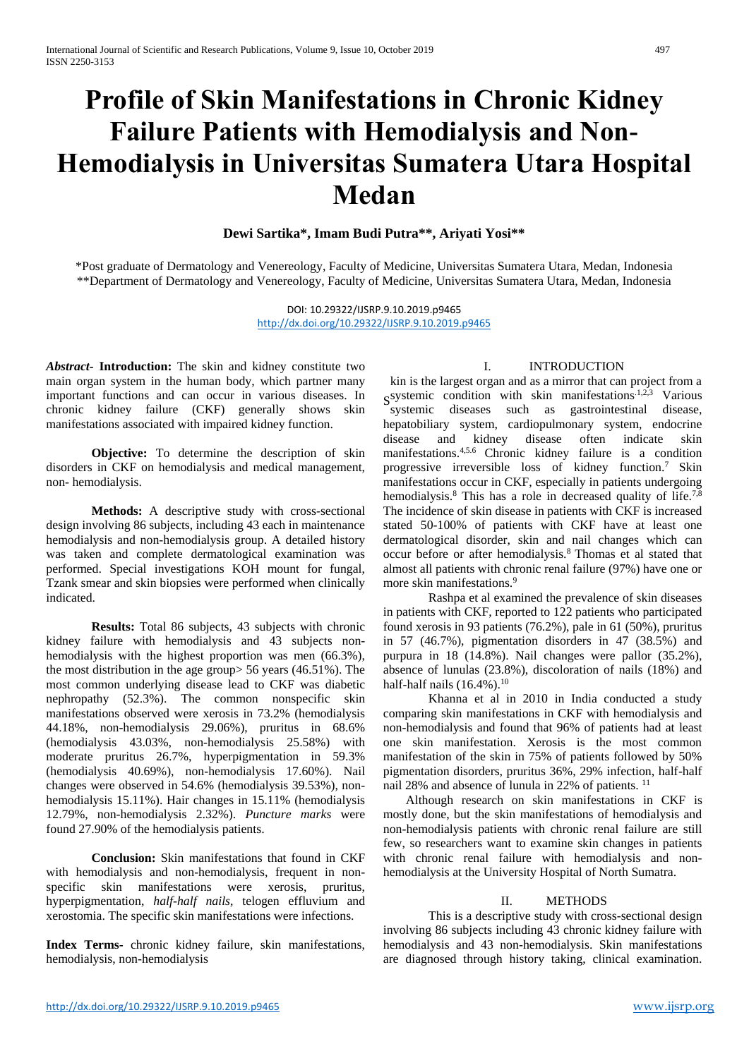# **Profile of Skin Manifestations in Chronic Kidney Failure Patients with Hemodialysis and Non-Hemodialysis in Universitas Sumatera Utara Hospital Medan**

# **Dewi Sartika\*, Imam Budi Putra\*\*, Ariyati Yosi\*\***

\*Post graduate of Dermatology and Venereology, Faculty of Medicine, Universitas Sumatera Utara, Medan, Indonesia \*\*Department of Dermatology and Venereology, Faculty of Medicine, Universitas Sumatera Utara, Medan, Indonesia

> DOI: 10.29322/IJSRP.9.10.2019.p9465 <http://dx.doi.org/10.29322/IJSRP.9.10.2019.p9465>

*Abstract-* **Introduction:** The skin and kidney constitute two main organ system in the human body, which partner many important functions and can occur in various diseases. In chronic kidney failure (CKF) generally shows skin manifestations associated with impaired kidney function.

**Objective:** To determine the description of skin disorders in CKF on hemodialysis and medical management, non- hemodialysis.

**Methods:** A descriptive study with cross-sectional design involving 86 subjects, including 43 each in maintenance hemodialysis and non-hemodialysis group. A detailed history was taken and complete dermatological examination was performed. Special investigations KOH mount for fungal, Tzank smear and skin biopsies were performed when clinically indicated.

**Results:** Total 86 subjects, 43 subjects with chronic kidney failure with hemodialysis and 43 subjects nonhemodialysis with the highest proportion was men (66.3%), the most distribution in the age group> 56 years (46.51%). The most common underlying disease lead to CKF was diabetic nephropathy (52.3%). The common nonspecific skin manifestations observed were xerosis in 73.2% (hemodialysis 44.18%, non-hemodialysis 29.06%), pruritus in 68.6% (hemodialysis 43.03%, non-hemodialysis 25.58%) with moderate pruritus 26.7%, hyperpigmentation in 59.3% (hemodialysis 40.69%), non-hemodialysis 17.60%). Nail changes were observed in 54.6% (hemodialysis 39.53%), nonhemodialysis 15.11%). Hair changes in 15.11% (hemodialysis 12.79%, non-hemodialysis 2.32%). *Puncture marks* were found 27.90% of the hemodialysis patients.

**Conclusion:** Skin manifestations that found in CKF with hemodialysis and non-hemodialysis, frequent in nonspecific skin manifestations were xerosis, pruritus, hyperpigmentation, *half-half nails*, telogen effluvium and xerostomia. The specific skin manifestations were infections.

**Index Terms-** chronic kidney failure, skin manifestations, hemodialysis, non-hemodialysis

#### I. INTRODUCTION

kin is the largest organ and as a mirror that can project from a S<sup>systemic</sup> condition with skin manifestations.<sup>1,2,3</sup> Various systemic diseases such as gastrointestinal disease, hepatobiliary system, cardiopulmonary system, endocrine disease and kidney disease often indicate skin manifestations.4,5.6 Chronic kidney failure is a condition progressive irreversible loss of kidney function. <sup>7</sup> Skin manifestations occur in CKF, especially in patients undergoing hemodialysis.<sup>8</sup> This has a role in decreased quality of life.<sup>7,8</sup> The incidence of skin disease in patients with CKF is increased stated 50-100% of patients with CKF have at least one dermatological disorder, skin and nail changes which can occur before or after hemodialysis.<sup>8</sup> Thomas et al stated that almost all patients with chronic renal failure (97%) have one or more skin manifestations.<sup>9</sup>

Rashpa et al examined the prevalence of skin diseases in patients with CKF, reported to 122 patients who participated found xerosis in 93 patients (76.2%), pale in 61 (50%), pruritus in 57 (46.7%), pigmentation disorders in 47 (38.5%) and purpura in 18 (14.8%). Nail changes were pallor (35.2%), absence of lunulas (23.8%), discoloration of nails (18%) and half-half nails  $(16.4\%)$ <sup>10</sup>

Khanna et al in 2010 in India conducted a study comparing skin manifestations in CKF with hemodialysis and non-hemodialysis and found that 96% of patients had at least one skin manifestation. Xerosis is the most common manifestation of the skin in 75% of patients followed by 50% pigmentation disorders, pruritus 36%, 29% infection, half-half nail 28% and absence of lunula in 22% of patients. <sup>11</sup>

Although research on skin manifestations in CKF is mostly done, but the skin manifestations of hemodialysis and non-hemodialysis patients with chronic renal failure are still few, so researchers want to examine skin changes in patients with chronic renal failure with hemodialysis and nonhemodialysis at the University Hospital of North Sumatra.

## II. METHODS

This is a descriptive study with cross-sectional design involving 86 subjects including 43 chronic kidney failure with hemodialysis and 43 non-hemodialysis. Skin manifestations are diagnosed through history taking, clinical examination.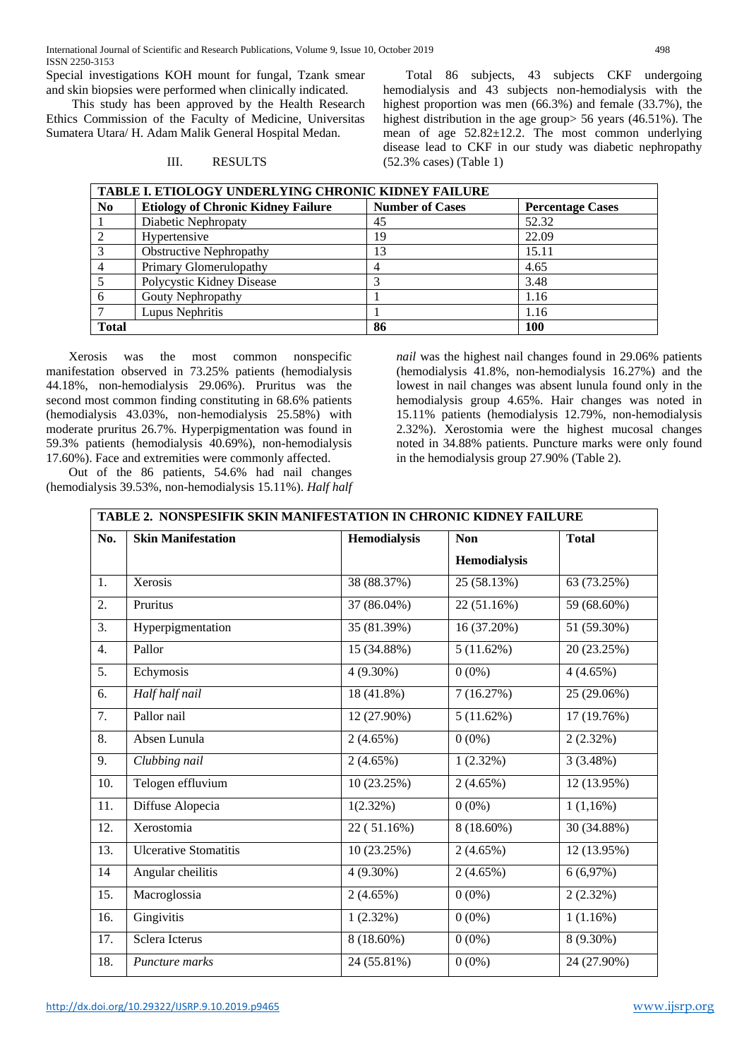International Journal of Scientific and Research Publications, Volume 9, Issue 10, October 2019 498 ISSN 2250-3153

Special investigations KOH mount for fungal, Tzank smear and skin biopsies were performed when clinically indicated.

This study has been approved by the Health Research Ethics Commission of the Faculty of Medicine, Universitas Sumatera Utara/ H. Adam Malik General Hospital Medan.

#### III. RESULTS

Total 86 subjects, 43 subjects CKF undergoing hemodialysis and 43 subjects non-hemodialysis with the highest proportion was men (66.3%) and female (33.7%), the highest distribution in the age group > 56 years (46.51%). The mean of age 52.82±12.2. The most common underlying disease lead to CKF in our study was diabetic nephropathy (52.3% cases) (Table 1)

| TABLE I. ETIOLOGY UNDERLYING CHRONIC KIDNEY FAILURE |                                           |                        |                         |  |  |  |
|-----------------------------------------------------|-------------------------------------------|------------------------|-------------------------|--|--|--|
| N <sub>0</sub>                                      | <b>Etiology of Chronic Kidney Failure</b> | <b>Number of Cases</b> | <b>Percentage Cases</b> |  |  |  |
|                                                     | Diabetic Nephropaty                       | 45                     | 52.32                   |  |  |  |
| 2                                                   | Hypertensive                              | 19                     | 22.09                   |  |  |  |
| 3                                                   | <b>Obstructive Nephropathy</b>            | 13                     | 15.11                   |  |  |  |
| $\overline{4}$                                      | Primary Glomerulopathy                    | 4                      | 4.65                    |  |  |  |
| -5                                                  | Polycystic Kidney Disease                 |                        | 3.48                    |  |  |  |
| - 6                                                 | Gouty Nephropathy                         |                        | 1.16                    |  |  |  |
|                                                     | Lupus Nephritis                           |                        | 1.16                    |  |  |  |
| <b>Total</b>                                        |                                           | 86                     | <b>100</b>              |  |  |  |

Xerosis was the most common nonspecific manifestation observed in 73.25% patients (hemodialysis 44.18%, non-hemodialysis 29.06%). Pruritus was the second most common finding constituting in 68.6% patients (hemodialysis 43.03%, non-hemodialysis 25.58%) with moderate pruritus 26.7%. Hyperpigmentation was found in 59.3% patients (hemodialysis 40.69%), non-hemodialysis 17.60%). Face and extremities were commonly affected.

Out of the 86 patients, 54.6% had nail changes (hemodialysis 39.53%, non-hemodialysis 15.11%). *Half half*  *nail* was the highest nail changes found in 29.06% patients (hemodialysis 41.8%, non-hemodialysis 16.27%) and the lowest in nail changes was absent lunula found only in the hemodialysis group 4.65%. Hair changes was noted in 15.11% patients (hemodialysis 12.79%, non-hemodialysis 2.32%). Xerostomia were the highest mucosal changes noted in 34.88% patients. Puncture marks were only found in the hemodialysis group 27.90% (Table 2).

| No. | <b>Skin Manifestation</b>    | Hemodialysis | <b>Non</b>          | <b>Total</b> |
|-----|------------------------------|--------------|---------------------|--------------|
|     |                              |              | <b>Hemodialysis</b> |              |
| 1.  | Xerosis                      | 38 (88.37%)  | 25 (58.13%)         | 63 (73.25%)  |
| 2.  | Pruritus                     | 37 (86.04%)  | 22 (51.16%)         | 59 (68.60%)  |
| 3.  | Hyperpigmentation            | 35 (81.39%)  | 16 (37.20%)         | 51 (59.30%)  |
| 4.  | Pallor                       | 15 (34.88%)  | 5(11.62%)           | 20 (23.25%)  |
| 5.  | Echymosis                    | $4(9.30\%)$  | $0(0\%)$            | 4(4.65%)     |
| 6.  | Half half nail               | 18 (41.8%)   | 7(16.27%)           | 25 (29.06%)  |
| 7.  | Pallor nail                  | 12 (27.90%)  | 5(11.62%)           | 17 (19.76%)  |
| 8.  | Absen Lunula                 | $2(4.65\%)$  | $0(0\%)$            | 2(2.32%)     |
| 9.  | Clubbing nail                | 2(4.65%)     | $1(2.32\%)$         | 3(3.48%)     |
| 10. | Telogen effluvium            | 10(23.25%)   | $2(4.65\%)$         | 12 (13.95%)  |
| 11. | Diffuse Alopecia             | $1(2.32\%)$  | $0(0\%)$            | $1(1,16\%)$  |
| 12. | Xerostomia                   | 22 (51.16%)  | 8 (18.60%)          | 30 (34.88%)  |
| 13. | <b>Ulcerative Stomatitis</b> | 10 (23.25%)  | $2(4.65\%)$         | 12 (13.95%)  |
| 14  | Angular cheilitis            | $4(9.30\%)$  | $2(4.65\%)$         | 6(6,97%)     |
| 15. | Macroglossia                 | $2(4.65\%)$  | $0(0\%)$            | $2(2.32\%)$  |
| 16. | Gingivitis                   | $1(2.32\%)$  | $0(0\%)$            | 1(1.16%)     |
| 17. | Sclera Icterus               | 8 (18.60%)   | $0(0\%)$            | 8 (9.30%)    |
| 18. | Puncture marks               | 24 (55.81%)  | $0(0\%)$            | 24 (27.90%)  |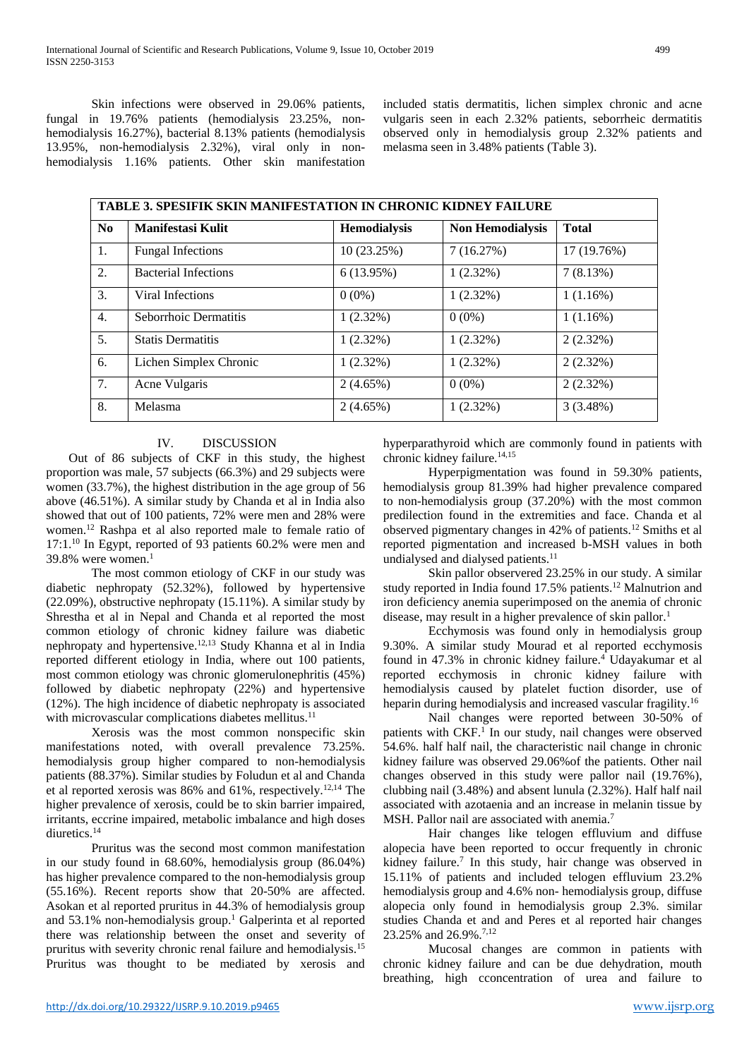Skin infections were observed in 29.06% patients, fungal in 19.76% patients (hemodialysis 23.25%, nonhemodialysis 16.27%), bacterial 8.13% patients (hemodialysis 13.95%, non-hemodialysis 2.32%), viral only in nonhemodialysis 1.16% patients. Other skin manifestation

included statis dermatitis, lichen simplex chronic and acne vulgaris seen in each 2.32% patients, seborrheic dermatitis observed only in hemodialysis group 2.32% patients and melasma seen in 3.48% patients (Table 3).

| <b>TABLE 3. SPESIFIK SKIN MANIFESTATION IN CHRONIC KIDNEY FAILURE</b> |                             |                     |                         |              |  |  |  |
|-----------------------------------------------------------------------|-----------------------------|---------------------|-------------------------|--------------|--|--|--|
| $\bf No$                                                              | <b>Manifestasi Kulit</b>    | <b>Hemodialysis</b> | <b>Non Hemodialysis</b> | <b>Total</b> |  |  |  |
| 1.                                                                    | <b>Fungal Infections</b>    | 10(23.25%)          | 7(16.27%)               | 17 (19.76%)  |  |  |  |
| 2.                                                                    | <b>Bacterial Infections</b> | $6(13.95\%)$        | $1(2.32\%)$             | 7(8.13%)     |  |  |  |
| 3.                                                                    | Viral Infections            | $0(0\%)$            | $1(2.32\%)$             | 1(1.16%)     |  |  |  |
| $\overline{4}$ .                                                      | Seborrhoic Dermatitis       | $1(2.32\%)$         | $0(0\%)$                | $1(1.16\%)$  |  |  |  |
| 5.                                                                    | <b>Statis Dermatitis</b>    | $1(2.32\%)$         | $1(2.32\%)$             | $2(2.32\%)$  |  |  |  |
| 6.                                                                    | Lichen Simplex Chronic      | $1(2.32\%)$         | $1(2.32\%)$             | 2(2.32%)     |  |  |  |
| 7.                                                                    | Acne Vulgaris               | $2(4.65\%)$         | $0(0\%)$                | $2(2.32\%)$  |  |  |  |
| 8.                                                                    | <b>Melasma</b>              | $2(4.65\%)$         | $1(2.32\%)$             | 3(3.48%)     |  |  |  |

## IV. DISCUSSION

Out of 86 subjects of CKF in this study, the highest proportion was male, 57 subjects (66.3%) and 29 subjects were women (33.7%), the highest distribution in the age group of 56 above (46.51%). A similar study by Chanda et al in India also showed that out of 100 patients, 72% were men and 28% were women.<sup>12</sup> Rashpa et al also reported male to female ratio of 17:1.<sup>10</sup> In Egypt, reported of 93 patients 60.2% were men and 39.8% were women. $1$ 

The most common etiology of CKF in our study was diabetic nephropaty (52.32%), followed by hypertensive (22.09%), obstructive nephropaty (15.11%). A similar study by Shrestha et al in Nepal and Chanda et al reported the most common etiology of chronic kidney failure was diabetic nephropaty and hypertensive.<sup>12,13</sup> Study Khanna et al in India reported different etiology in India, where out 100 patients, most common etiology was chronic glomerulonephritis (45%) followed by diabetic nephropaty (22%) and hypertensive (12%). The high incidence of diabetic nephropaty is associated with microvascular complications diabetes mellitus.<sup>11</sup>

Xerosis was the most common nonspecific skin manifestations noted, with overall prevalence 73.25%. hemodialysis group higher compared to non-hemodialysis patients (88.37%). Similar studies by Foludun et al and Chanda et al reported xerosis was  $86\%$  and  $61\%$ , respectively.<sup>12,14</sup> The higher prevalence of xerosis, could be to skin barrier impaired, irritants, eccrine impaired, metabolic imbalance and high doses diuretics.<sup>14</sup>

Pruritus was the second most common manifestation in our study found in 68.60%, hemodialysis group (86.04%) has higher prevalence compared to the non-hemodialysis group (55.16%). Recent reports show that 20-50% are affected. Asokan et al reported pruritus in 44.3% of hemodialysis group and  $53.1\%$  non-hemodialysis group.<sup>1</sup> Galperinta et al reported there was relationship between the onset and severity of pruritus with severity chronic renal failure and hemodialysis.<sup>15</sup> Pruritus was thought to be mediated by xerosis and

hyperparathyroid which are commonly found in patients with chronic kidney failure.<sup>14,15</sup>

Hyperpigmentation was found in 59.30% patients, hemodialysis group 81.39% had higher prevalence compared to non-hemodialysis group (37.20%) with the most common predilection found in the extremities and face. Chanda et al observed pigmentary changes in 42% of patients.<sup>12</sup> Smiths et al reported pigmentation and increased b-MSH values in both undialysed and dialysed patients.<sup>11</sup>

Skin pallor observered 23.25% in our study. A similar study reported in India found 17.5% patients.<sup>12</sup> Malnutrion and iron deficiency anemia superimposed on the anemia of chronic disease, may result in a higher prevalence of skin pallor.<sup>1</sup>

Ecchymosis was found only in hemodialysis group 9.30%. A similar study Mourad et al reported ecchymosis found in 47.3% in chronic kidney failure.<sup>4</sup> Udayakumar et al reported ecchymosis in chronic kidney failure with hemodialysis caused by platelet fuction disorder, use of heparin during hemodialysis and increased vascular fragility.<sup>16</sup>

Nail changes were reported between 30-50% of patients with CKF. 1 In our study, nail changes were observed 54.6%. half half nail, the characteristic nail change in chronic kidney failure was observed 29.06%of the patients. Other nail changes observed in this study were pallor nail (19.76%), clubbing nail (3.48%) and absent lunula (2.32%). Half half nail associated with azotaenia and an increase in melanin tissue by MSH. Pallor nail are associated with anemia.<sup>7</sup>

Hair changes like telogen effluvium and diffuse alopecia have been reported to occur frequently in chronic kidney failure.<sup>7</sup> In this study, hair change was observed in 15.11% of patients and included telogen effluvium 23.2% hemodialysis group and 4.6% non- hemodialysis group, diffuse alopecia only found in hemodialysis group 2.3%. similar studies Chanda et and and Peres et al reported hair changes 23.25% and 26.9%.7,12

Mucosal changes are common in patients with chronic kidney failure and can be due dehydration, mouth breathing, high cconcentration of urea and failure to